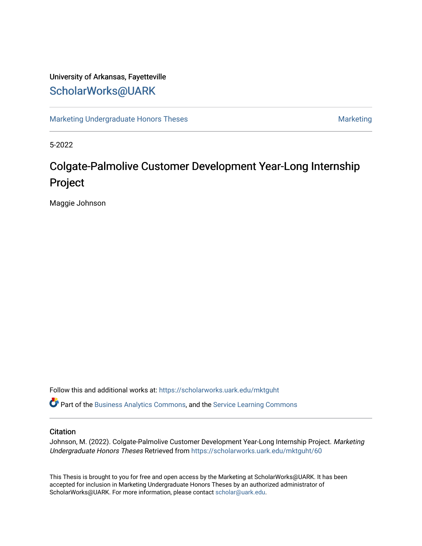## University of Arkansas, Fayetteville [ScholarWorks@UARK](https://scholarworks.uark.edu/)

[Marketing Undergraduate Honors Theses](https://scholarworks.uark.edu/mktguht) [Marketing](https://scholarworks.uark.edu/mktg) Marketing

5-2022

# Colgate-Palmolive Customer Development Year-Long Internship Project

Maggie Johnson

Follow this and additional works at: [https://scholarworks.uark.edu/mktguht](https://scholarworks.uark.edu/mktguht?utm_source=scholarworks.uark.edu%2Fmktguht%2F60&utm_medium=PDF&utm_campaign=PDFCoverPages)

Part of the [Business Analytics Commons](http://network.bepress.com/hgg/discipline/1398?utm_source=scholarworks.uark.edu%2Fmktguht%2F60&utm_medium=PDF&utm_campaign=PDFCoverPages), and the [Service Learning Commons](http://network.bepress.com/hgg/discipline/1024?utm_source=scholarworks.uark.edu%2Fmktguht%2F60&utm_medium=PDF&utm_campaign=PDFCoverPages) 

### **Citation**

Johnson, M. (2022). Colgate-Palmolive Customer Development Year-Long Internship Project. Marketing Undergraduate Honors Theses Retrieved from [https://scholarworks.uark.edu/mktguht/60](https://scholarworks.uark.edu/mktguht/60?utm_source=scholarworks.uark.edu%2Fmktguht%2F60&utm_medium=PDF&utm_campaign=PDFCoverPages)

This Thesis is brought to you for free and open access by the Marketing at ScholarWorks@UARK. It has been accepted for inclusion in Marketing Undergraduate Honors Theses by an authorized administrator of ScholarWorks@UARK. For more information, please contact [scholar@uark.edu](mailto:scholar@uark.edu).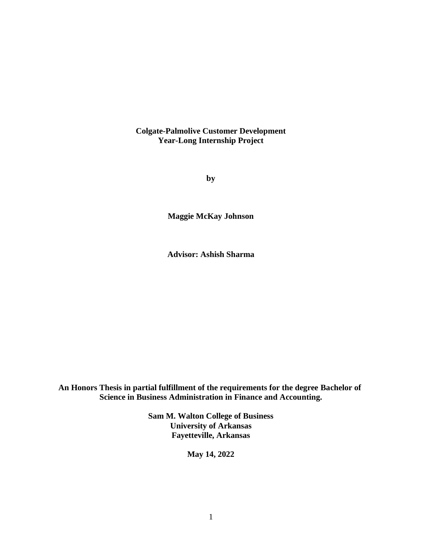**Colgate-Palmolive Customer Development Year-Long Internship Project**

**by**

**Maggie McKay Johnson**

**Advisor: Ashish Sharma**

**An Honors Thesis in partial fulfillment of the requirements for the degree Bachelor of Science in Business Administration in Finance and Accounting.**

> **Sam M. Walton College of Business University of Arkansas Fayetteville, Arkansas**

> > **May 14, 2022**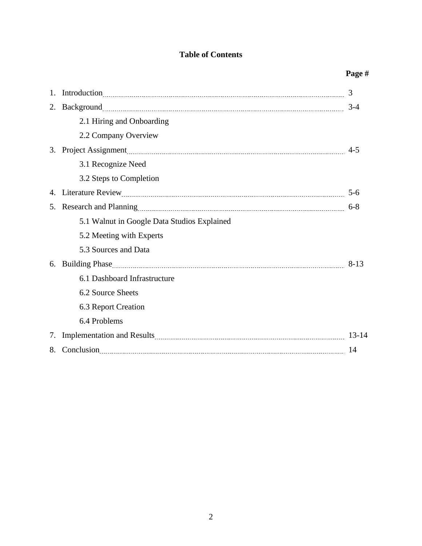## **Table of Contents**

|    |                                             | Page #   |
|----|---------------------------------------------|----------|
| 1. |                                             | 3        |
| 2. |                                             | $3-4$    |
|    | 2.1 Hiring and Onboarding                   |          |
|    | 2.2 Company Overview                        |          |
| 3. |                                             | $4 - 5$  |
|    | 3.1 Recognize Need                          |          |
|    | 3.2 Steps to Completion                     |          |
| 4. |                                             | $5 - 6$  |
|    |                                             | $6-8$    |
|    | 5.1 Walnut in Google Data Studios Explained |          |
|    | 5.2 Meeting with Experts                    |          |
|    | 5.3 Sources and Data                        |          |
| 6. |                                             | $8 - 13$ |
|    | 6.1 Dashboard Infrastructure                |          |
|    | 6.2 Source Sheets                           |          |
|    | 6.3 Report Creation                         |          |
|    | 6.4 Problems                                |          |
| 7. |                                             |          |
| 8. |                                             | 14       |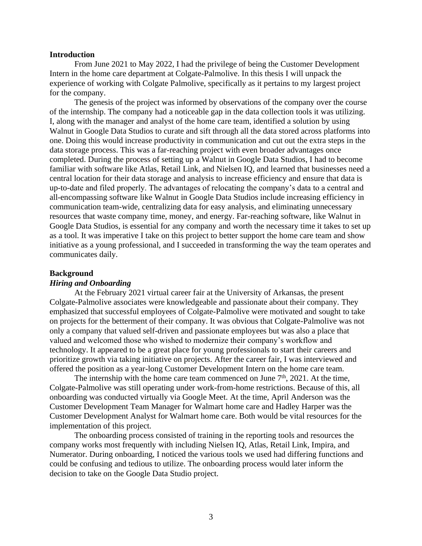### **Introduction**

From June 2021 to May 2022, I had the privilege of being the Customer Development Intern in the home care department at Colgate-Palmolive. In this thesis I will unpack the experience of working with Colgate Palmolive, specifically as it pertains to my largest project for the company.

The genesis of the project was informed by observations of the company over the course of the internship. The company had a noticeable gap in the data collection tools it was utilizing. I, along with the manager and analyst of the home care team, identified a solution by using Walnut in Google Data Studios to curate and sift through all the data stored across platforms into one. Doing this would increase productivity in communication and cut out the extra steps in the data storage process. This was a far-reaching project with even broader advantages once completed. During the process of setting up a Walnut in Google Data Studios, I had to become familiar with software like Atlas, Retail Link, and Nielsen IQ, and learned that businesses need a central location for their data storage and analysis to increase efficiency and ensure that data is up-to-date and filed properly. The advantages of relocating the company's data to a central and all-encompassing software like Walnut in Google Data Studios include increasing efficiency in communication team-wide, centralizing data for easy analysis, and eliminating unnecessary resources that waste company time, money, and energy. Far-reaching software, like Walnut in Google Data Studios, is essential for any company and worth the necessary time it takes to set up as a tool. It was imperative I take on this project to better support the home care team and show initiative as a young professional, and I succeeded in transforming the way the team operates and communicates daily.

## **Background**

#### *Hiring and Onboarding*

At the February 2021 virtual career fair at the University of Arkansas, the present Colgate-Palmolive associates were knowledgeable and passionate about their company. They emphasized that successful employees of Colgate-Palmolive were motivated and sought to take on projects for the betterment of their company. It was obvious that Colgate-Palmolive was not only a company that valued self-driven and passionate employees but was also a place that valued and welcomed those who wished to modernize their company's workflow and technology. It appeared to be a great place for young professionals to start their careers and prioritize growth via taking initiative on projects. After the career fair, I was interviewed and offered the position as a year-long Customer Development Intern on the home care team.

The internship with the home care team commenced on June  $7<sup>th</sup>$ , 2021. At the time, Colgate-Palmolive was still operating under work-from-home restrictions. Because of this, all onboarding was conducted virtually via Google Meet. At the time, April Anderson was the Customer Development Team Manager for Walmart home care and Hadley Harper was the Customer Development Analyst for Walmart home care. Both would be vital resources for the implementation of this project.

The onboarding process consisted of training in the reporting tools and resources the company works most frequently with including Nielsen IQ, Atlas, Retail Link, Impira, and Numerator. During onboarding, I noticed the various tools we used had differing functions and could be confusing and tedious to utilize. The onboarding process would later inform the decision to take on the Google Data Studio project.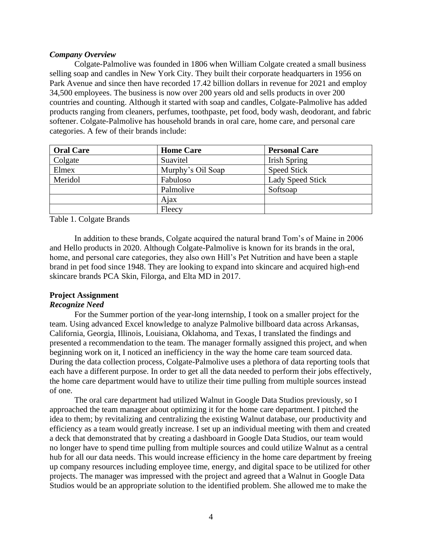## *Company Overview*

Colgate-Palmolive was founded in 1806 when William Colgate created a small business selling soap and candles in New York City. They built their corporate headquarters in 1956 on Park Avenue and since then have recorded 17.42 billion dollars in revenue for 2021 and employ 34,500 employees. The business is now over 200 years old and sells products in over 200 countries and counting. Although it started with soap and candles, Colgate-Palmolive has added products ranging from cleaners, perfumes, toothpaste, pet food, body wash, deodorant, and fabric softener. Colgate-Palmolive has household brands in oral care, home care, and personal care categories. A few of their brands include:

| <b>Oral Care</b> | <b>Home Care</b>  | <b>Personal Care</b>    |
|------------------|-------------------|-------------------------|
| Colgate          | Suavitel          | Irish Spring            |
| Elmex            | Murphy's Oil Soap | <b>Speed Stick</b>      |
| Meridol          | Fabuloso          | <b>Lady Speed Stick</b> |
|                  | Palmolive         | Softsoap                |
|                  | Ajax              |                         |
|                  | Fleecy            |                         |

Table 1. Colgate Brands

In addition to these brands, Colgate acquired the natural brand Tom's of Maine in 2006 and Hello products in 2020. Although Colgate-Palmolive is known for its brands in the oral, home, and personal care categories, they also own Hill's Pet Nutrition and have been a staple brand in pet food since 1948. They are looking to expand into skincare and acquired high-end skincare brands PCA Skin, Filorga, and Elta MD in 2017.

## **Project Assignment**

## *Recognize Need*

For the Summer portion of the year-long internship, I took on a smaller project for the team. Using advanced Excel knowledge to analyze Palmolive billboard data across Arkansas, California, Georgia, Illinois, Louisiana, Oklahoma, and Texas, I translated the findings and presented a recommendation to the team. The manager formally assigned this project, and when beginning work on it, I noticed an inefficiency in the way the home care team sourced data. During the data collection process, Colgate-Palmolive uses a plethora of data reporting tools that each have a different purpose. In order to get all the data needed to perform their jobs effectively, the home care department would have to utilize their time pulling from multiple sources instead of one.

The oral care department had utilized Walnut in Google Data Studios previously, so I approached the team manager about optimizing it for the home care department. I pitched the idea to them; by revitalizing and centralizing the existing Walnut database, our productivity and efficiency as a team would greatly increase. I set up an individual meeting with them and created a deck that demonstrated that by creating a dashboard in Google Data Studios, our team would no longer have to spend time pulling from multiple sources and could utilize Walnut as a central hub for all our data needs. This would increase efficiency in the home care department by freeing up company resources including employee time, energy, and digital space to be utilized for other projects. The manager was impressed with the project and agreed that a Walnut in Google Data Studios would be an appropriate solution to the identified problem. She allowed me to make the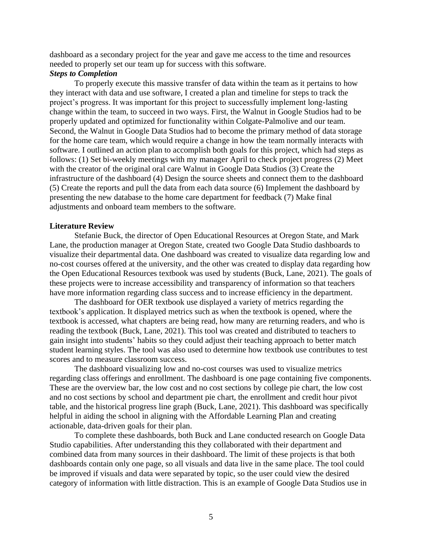dashboard as a secondary project for the year and gave me access to the time and resources needed to properly set our team up for success with this software.

## *Steps to Completion*

To properly execute this massive transfer of data within the team as it pertains to how they interact with data and use software, I created a plan and timeline for steps to track the project's progress. It was important for this project to successfully implement long-lasting change within the team, to succeed in two ways. First, the Walnut in Google Studios had to be properly updated and optimized for functionality within Colgate-Palmolive and our team. Second, the Walnut in Google Data Studios had to become the primary method of data storage for the home care team, which would require a change in how the team normally interacts with software. I outlined an action plan to accomplish both goals for this project, which had steps as follows: (1) Set bi-weekly meetings with my manager April to check project progress (2) Meet with the creator of the original oral care Walnut in Google Data Studios (3) Create the infrastructure of the dashboard (4) Design the source sheets and connect them to the dashboard (5) Create the reports and pull the data from each data source (6) Implement the dashboard by presenting the new database to the home care department for feedback (7) Make final adjustments and onboard team members to the software.

#### **Literature Review**

Stefanie Buck, the director of Open Educational Resources at Oregon State, and Mark Lane, the production manager at Oregon State, created two Google Data Studio dashboards to visualize their departmental data. One dashboard was created to visualize data regarding low and no-cost courses offered at the university, and the other was created to display data regarding how the Open Educational Resources textbook was used by students (Buck, Lane, 2021). The goals of these projects were to increase accessibility and transparency of information so that teachers have more information regarding class success and to increase efficiency in the department.

The dashboard for OER textbook use displayed a variety of metrics regarding the textbook's application. It displayed metrics such as when the textbook is opened, where the textbook is accessed, what chapters are being read, how many are returning readers, and who is reading the textbook (Buck, Lane, 2021). This tool was created and distributed to teachers to gain insight into students' habits so they could adjust their teaching approach to better match student learning styles. The tool was also used to determine how textbook use contributes to test scores and to measure classroom success.

The dashboard visualizing low and no-cost courses was used to visualize metrics regarding class offerings and enrollment. The dashboard is one page containing five components. These are the overview bar, the low cost and no cost sections by college pie chart, the low cost and no cost sections by school and department pie chart, the enrollment and credit hour pivot table, and the historical progress line graph (Buck, Lane, 2021). This dashboard was specifically helpful in aiding the school in aligning with the Affordable Learning Plan and creating actionable, data-driven goals for their plan.

To complete these dashboards, both Buck and Lane conducted research on Google Data Studio capabilities. After understanding this they collaborated with their department and combined data from many sources in their dashboard. The limit of these projects is that both dashboards contain only one page, so all visuals and data live in the same place. The tool could be improved if visuals and data were separated by topic, so the user could view the desired category of information with little distraction. This is an example of Google Data Studios use in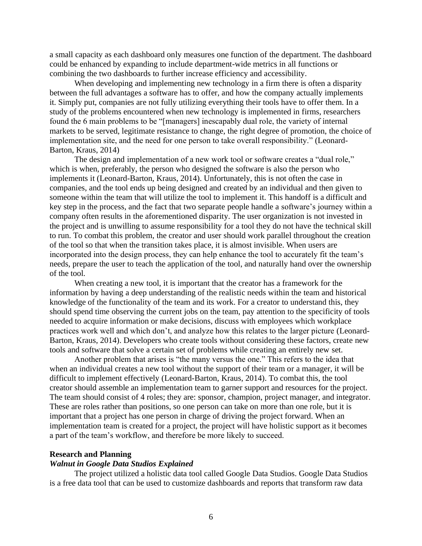a small capacity as each dashboard only measures one function of the department. The dashboard could be enhanced by expanding to include department-wide metrics in all functions or combining the two dashboards to further increase efficiency and accessibility.

When developing and implementing new technology in a firm there is often a disparity between the full advantages a software has to offer, and how the company actually implements it. Simply put, companies are not fully utilizing everything their tools have to offer them. In a study of the problems encountered when new technology is implemented in firms, researchers found the 6 main problems to be "[managers] inescapably dual role, the variety of internal markets to be served, legitimate resistance to change, the right degree of promotion, the choice of implementation site, and the need for one person to take overall responsibility." (Leonard-Barton, Kraus, 2014)

The design and implementation of a new work tool or software creates a "dual role," which is when, preferably, the person who designed the software is also the person who implements it (Leonard-Barton, Kraus, 2014). Unfortunately, this is not often the case in companies, and the tool ends up being designed and created by an individual and then given to someone within the team that will utilize the tool to implement it. This handoff is a difficult and key step in the process, and the fact that two separate people handle a software's journey within a company often results in the aforementioned disparity. The user organization is not invested in the project and is unwilling to assume responsibility for a tool they do not have the technical skill to run. To combat this problem, the creator and user should work parallel throughout the creation of the tool so that when the transition takes place, it is almost invisible. When users are incorporated into the design process, they can help enhance the tool to accurately fit the team's needs, prepare the user to teach the application of the tool, and naturally hand over the ownership of the tool.

When creating a new tool, it is important that the creator has a framework for the information by having a deep understanding of the realistic needs within the team and historical knowledge of the functionality of the team and its work. For a creator to understand this, they should spend time observing the current jobs on the team, pay attention to the specificity of tools needed to acquire information or make decisions, discuss with employees which workplace practices work well and which don't, and analyze how this relates to the larger picture (Leonard-Barton, Kraus, 2014). Developers who create tools without considering these factors, create new tools and software that solve a certain set of problems while creating an entirely new set.

Another problem that arises is "the many versus the one." This refers to the idea that when an individual creates a new tool without the support of their team or a manager, it will be difficult to implement effectively (Leonard-Barton, Kraus, 2014). To combat this, the tool creator should assemble an implementation team to garner support and resources for the project. The team should consist of 4 roles; they are: sponsor, champion, project manager, and integrator. These are roles rather than positions, so one person can take on more than one role, but it is important that a project has one person in charge of driving the project forward. When an implementation team is created for a project, the project will have holistic support as it becomes a part of the team's workflow, and therefore be more likely to succeed.

#### **Research and Planning**

## *Walnut in Google Data Studios Explained*

The project utilized a holistic data tool called Google Data Studios. Google Data Studios is a free data tool that can be used to customize dashboards and reports that transform raw data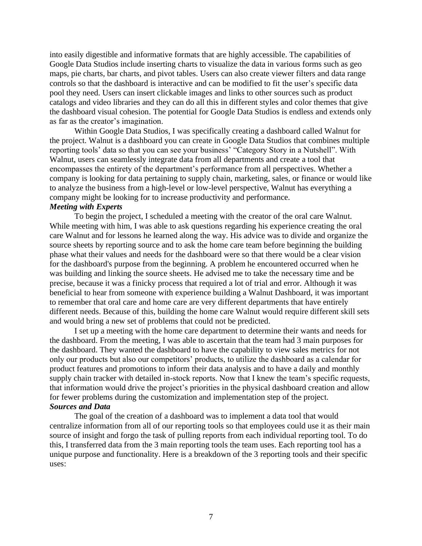into easily digestible and informative formats that are highly accessible. The capabilities of Google Data Studios include inserting charts to visualize the data in various forms such as geo maps, pie charts, bar charts, and pivot tables. Users can also create viewer filters and data range controls so that the dashboard is interactive and can be modified to fit the user's specific data pool they need. Users can insert clickable images and links to other sources such as product catalogs and video libraries and they can do all this in different styles and color themes that give the dashboard visual cohesion. The potential for Google Data Studios is endless and extends only as far as the creator's imagination.

Within Google Data Studios, I was specifically creating a dashboard called Walnut for the project. Walnut is a dashboard you can create in Google Data Studios that combines multiple reporting tools' data so that you can see your business' "Category Story in a Nutshell". With Walnut, users can seamlessly integrate data from all departments and create a tool that encompasses the entirety of the department's performance from all perspectives. Whether a company is looking for data pertaining to supply chain, marketing, sales, or finance or would like to analyze the business from a high-level or low-level perspective, Walnut has everything a company might be looking for to increase productivity and performance.

## *Meeting with Experts*

To begin the project, I scheduled a meeting with the creator of the oral care Walnut. While meeting with him, I was able to ask questions regarding his experience creating the oral care Walnut and for lessons he learned along the way. His advice was to divide and organize the source sheets by reporting source and to ask the home care team before beginning the building phase what their values and needs for the dashboard were so that there would be a clear vision for the dashboard's purpose from the beginning. A problem he encountered occurred when he was building and linking the source sheets. He advised me to take the necessary time and be precise, because it was a finicky process that required a lot of trial and error. Although it was beneficial to hear from someone with experience building a Walnut Dashboard, it was important to remember that oral care and home care are very different departments that have entirely different needs. Because of this, building the home care Walnut would require different skill sets and would bring a new set of problems that could not be predicted.

I set up a meeting with the home care department to determine their wants and needs for the dashboard. From the meeting, I was able to ascertain that the team had 3 main purposes for the dashboard. They wanted the dashboard to have the capability to view sales metrics for not only our products but also our competitors' products, to utilize the dashboard as a calendar for product features and promotions to inform their data analysis and to have a daily and monthly supply chain tracker with detailed in-stock reports. Now that I knew the team's specific requests, that information would drive the project's priorities in the physical dashboard creation and allow for fewer problems during the customization and implementation step of the project. *Sources and Data*

The goal of the creation of a dashboard was to implement a data tool that would centralize information from all of our reporting tools so that employees could use it as their main source of insight and forgo the task of pulling reports from each individual reporting tool. To do this, I transferred data from the 3 main reporting tools the team uses. Each reporting tool has a unique purpose and functionality. Here is a breakdown of the 3 reporting tools and their specific uses: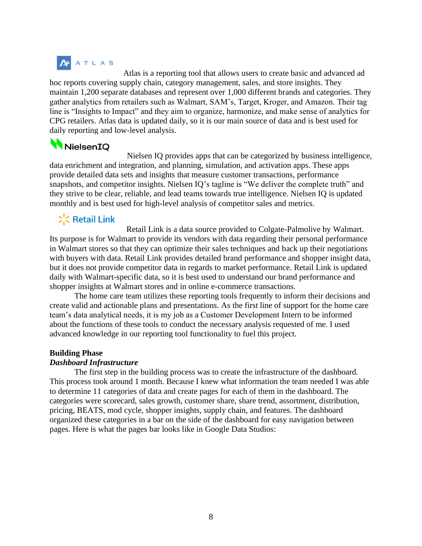# **ATLAS**

Atlas is a reporting tool that allows users to create basic and advanced ad hoc reports covering supply chain, category management, sales, and store insights. They maintain 1,200 separate databases and represent over 1,000 different brands and categories. They gather analytics from retailers such as Walmart, SAM's, Target, Kroger, and Amazon. Their tag line is "Insights to Impact" and they aim to organize, harmonize, and make sense of analytics for CPG retailers. Atlas data is updated daily, so it is our main source of data and is best used for daily reporting and low-level analysis.

# NielsenIQ

Nielsen IQ provides apps that can be categorized by business intelligence, data enrichment and integration, and planning, simulation, and activation apps. These apps provide detailed data sets and insights that measure customer transactions, performance snapshots, and competitor insights. Nielsen IQ's tagline is "We deliver the complete truth" and they strive to be clear, reliable, and lead teams towards true intelligence. Nielsen IQ is updated monthly and is best used for high-level analysis of competitor sales and metrics.

## **C** Retail Link

Retail Link is a data source provided to Colgate-Palmolive by Walmart. Its purpose is for Walmart to provide its vendors with data regarding their personal performance in Walmart stores so that they can optimize their sales techniques and back up their negotiations with buyers with data. Retail Link provides detailed brand performance and shopper insight data, but it does not provide competitor data in regards to market performance. Retail Link is updated daily with Walmart-specific data, so it is best used to understand our brand performance and shopper insights at Walmart stores and in online e-commerce transactions.

The home care team utilizes these reporting tools frequently to inform their decisions and create valid and actionable plans and presentations. As the first line of support for the home care team's data analytical needs, it is my job as a Customer Development Intern to be informed about the functions of these tools to conduct the necessary analysis requested of me. I used advanced knowledge in our reporting tool functionality to fuel this project.

## **Building Phase**

## *Dashboard Infrastructure*

The first step in the building process was to create the infrastructure of the dashboard. This process took around 1 month. Because I knew what information the team needed I was able to determine 11 categories of data and create pages for each of them in the dashboard. The categories were scorecard, sales growth, customer share, share trend, assortment, distribution, pricing, BEATS, mod cycle, shopper insights, supply chain, and features. The dashboard organized these categories in a bar on the side of the dashboard for easy navigation between pages. Here is what the pages bar looks like in Google Data Studios: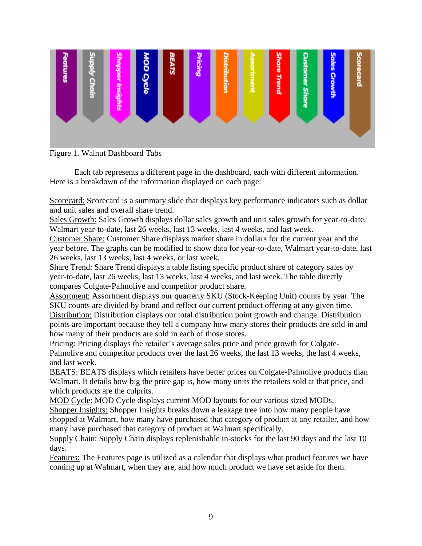

Figure 1. Walnut Dashboard Tabs

Each tab represents a different page in the dashboard, each with different information. Here is a breakdown of the information displayed on each page:

Scorecard: Scorecard is a summary slide that displays key performance indicators such as dollar and unit sales and overall share trend.

Sales Growth: Sales Growth displays dollar sales growth and unit sales growth for year-to-date, Walmart year-to-date, last 26 weeks, last 13 weeks, last 4 weeks, and last week.

Customer Share: Customer Share displays market share in dollars for the current year and the year before. The graphs can be modified to show data for year-to-date, Walmart year-to-date, last 26 weeks, last 13 weeks, last 4 weeks, or last week.

Share Trend: Share Trend displays a table listing specific product share of category sales by year-to-date, last 26 weeks, last 13 weeks, last 4 weeks, and last week. The table directly compares Colgate-Palmolive and competitor product share.

Assortment: Assortment displays our quarterly SKU (Stock-Keeping Unit) counts by year. The SKU counts are divided by brand and reflect our current product offering at any given time. Distribution: Distribution displays our total distribution point growth and change. Distribution points are important because they tell a company how many stores their products are sold in and how many of their products are sold in each of those stores.

Pricing: Pricing displays the retailer's average sales price and price growth for Colgate-Palmolive and competitor products over the last 26 weeks, the last 13 weeks, the last 4 weeks, and last week.

BEATS: BEATS displays which retailers have better prices on Colgate-Palmolive products than Walmart. It details how big the price gap is, how many units the retailers sold at that price, and which products are the culprits.

MOD Cycle: MOD Cycle displays current MOD layouts for our various sized MODs.

Shopper Insights: Shopper Insights breaks down a leakage tree into how many people have shopped at Walmart, how many have purchased that category of product at any retailer, and how many have purchased that category of product at Walmart specifically.

Supply Chain: Supply Chain displays replenishable in-stocks for the last 90 days and the last 10 days.

Features: The Features page is utilized as a calendar that displays what product features we have coming up at Walmart, when they are, and how much product we have set aside for them.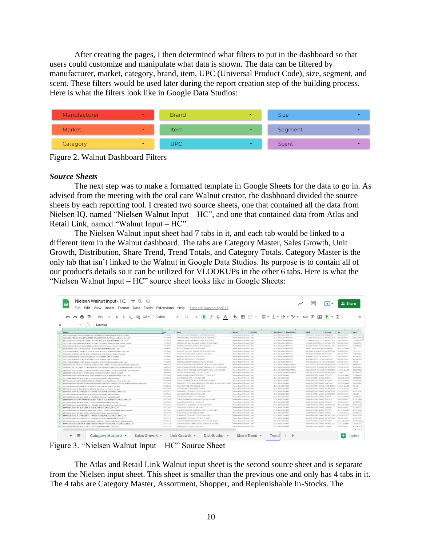After creating the pages, I then determined what filters to put in the dashboard so that users could customize and manipulate what data is shown. The data can be filtered by manufacturer, market, category, brand, item, UPC (Universal Product Code), size, segment, and scent. These filters would be used later during the report creation step of the building process. Here is what the filters look like in Google Data Studios:



Figure 2. Walnut Dashboard Filters

## *Source Sheets*

The next step was to make a formatted template in Google Sheets for the data to go in. As advised from the meeting with the oral care Walnut creator, the dashboard divided the source sheets by each reporting tool. I created two source sheets, one that contained all the data from Nielsen IQ, named "Nielsen Walnut Input – HC", and one that contained data from Atlas and Retail Link, named "Walnut Input – HC".

The Nielsen Walnut input sheet had 7 tabs in it, and each tab would be linked to a different item in the Walnut dashboard. The tabs are Category Master, Sales Growth, Unit Growth, Distribution, Share Trend, Trend Totals, and Category Totals. Category Master is the only tab that isn't linked to the Walnut in Google Data Studios. Its purpose is to contain all of our product's details so it can be utilized for VLOOKUPs in the other 6 tabs. Here is what the "Nielsen Walnut Input – HC" source sheet looks like in Google Sheets:

| File Edit View Insert Format Data Tools Extensions Help                                              |                                 |                                                                                                       |                                                                                                                  |                               |                                                     |                         |                          |
|------------------------------------------------------------------------------------------------------|---------------------------------|-------------------------------------------------------------------------------------------------------|------------------------------------------------------------------------------------------------------------------|-------------------------------|-----------------------------------------------------|-------------------------|--------------------------|
| .00.<br>$\sim$ $\sim$<br>.0<br>S<br>$123 -$                                                          | Calibri                         | B                                                                                                     | $I \oplus A \rightarrow B \oplus A$ + $\exists x \vdash x \vdash x$ + $\forall x$ + $\infty$ + $\Box$ + $\sum$ + |                               |                                                     |                         |                          |
| Lookup                                                                                               |                                 |                                                                                                       |                                                                                                                  |                               |                                                     |                         |                          |
|                                                                                                      | $\mathcal{L}$                   |                                                                                                       | 58<br>$\mathbb{R}$                                                                                               | $-10-1$<br>$-0.05$            | $-24$                                               | - 1                     | OR.                      |
| Lockup                                                                                               | <b>Turc</b>                     | <b>W Name</b>                                                                                         | "If Market<br>" Category                                                                                         | V Sub Category V Manufacturer | " Brand<br>Wisement                                 | $W$ Size                | U Scent                  |
| 3 1101312028UCTA CITRA-DISH FRESH CITRUS UCTRA 28 FUJID OUNCEWalmart Total US RM HADC                | 1101312020                      | ULTRA CITRA DISH FRESH CITRUS ULTRA 28 FLUID OUNCE                                                    | Walnut Total US RM xAOC Caller                                                                                   | LOL X OEEHADSAN REM MFG.      | ULTRA CITRA DEM (CITRA B) SCNSORIAL                 | 39 FLUID OUNCE          | FREM CITRA               |
| 1101312011CITRADISH MANGO TANGERINE REGULAR 25 FLUID CUNCEVIAIHHAM TIRAI US RM ANDC                  | 1101512031                      | CITRADISH MANGO TANGETINE REGILLAR 25 FLUID CUNCE                                                     | Wednesd Toyot US RM ANDC DISP                                                                                    | LOCK ORIGINATIONS INCREMENTS  | CITAMINA CONTRA GOLVILLO MATURAL ECO 35 FLUID OUNCE |                         | MANGO TANC               |
| 310131203207FAD5H LEMON VERBENA REGULAR 25 FLUID OUNCEWalment Total US RM xADC                       | 1101212032                      | CITRADISH LEMON VERBENA REGULAR 25 FLUID OUNCE                                                        | Wallmart Total US RM xAGC DISH                                                                                   | LOL 8 OCUMENTARY RESEARCH     | CITRADISH (CITRA BOLV LLC) NATURAL, ECO.            | 25 FLUID OUNCE          | LEMON VERE               |
| 3101312033CITRADISH LAVENDER BERGAMOT REGULAR 25 FUJID OUNCEWARMENT TOTALUS RM HAOC                  | 1101312033                      | CITRADISH LAVENDER REROANOF REGLA AR 26 FLUID CUNCE                                                   | Walness Tone US FAI xAOC: Delive                                                                                 | LOL x Orlandoton ROM MFG.     | CITAMONIA (CITRA GOLV LLC NATURAL ECO)              | 35 FLUID QUNCE          | LAVENDER 9               |
| 1101312034HOME SOLV CITEA OISH REGULAR 25 FLUID OUNCEWAIH #1 Total US RM KAOC                        | <b>HOSPITON</b>                 | HOME BOLY CITRA DISH REGULAR 25 FLUID DUNCE                                                           | Widwart Twist (20 RM sACIC) CIED-                                                                                | LOL X DISHADS/IN REM MFG.     | HOME BOLY ICITIN SOLVILLE NATURAL, ECO.             | 35 FLUID DUNCE          | <b><i>NOT STATES</i></b> |
| 1200545000881LCZA UNIT REGULAR 34.7 FLUID OUNCEWARTERE Total US RN1 sAOC                             | 1200545000                      | BRE.OZA LIME REGULAR 24.7 FLUID OUNCE                                                                 | Walnut Test US RM sAGC, DISH                                                                                     | LD, X DISHADSAIN REM MFG.     | BRILDZA IFABRICA DE JABOR EDISORIAL                 | BET FLUID OUNCE         | LIME                     |
| 17911000405UM BURST PRESH CUT CIRANGES ULTRA 25 FLUID OURCEWallmart Total US ENV KADC                | 1791100040                      | SUN BURST FRESH CUT ORANSES ULTRA 29 FLUID CUNCE                                                      | Welver Selvi US RM vADC DISH                                                                                     | LOL X DESIGNED MY REM MFG.    | SUN BURST (SHOWLINE PRO ANTHUACTERIAL)              | 35 FLUID OUNCE          | <b>CRESH CLIFT</b>       |
| 17911000415UN BURST JUNIPER BERRY ULTRA 25 FLUID OUNCEWAITHINT TERM US RM NADC                       | 1791100041                      | SUN BURNT A BARRES BESSY IS TON 25 D UID OUNCE                                                        | Walmer Told US RM vAOC DISH                                                                                      | LDL X DISHADSAN REM MTG       | SUM BURNET VEHENALISE BRID EFFICACY                 | 35 FLUID DUNCE          | AMPER BET                |
| 1791124090NO SRAND USTED ULTRA 24 FLUID DUNCEWalmart Total US RM x4/DC                               | 1791124090                      | NO BRAND LISTED ULTRA 24 FLUED DUNCE                                                                  | Welcoast Total US RM ANDO DISH                                                                                   | LOL X OSHADSAN REM MFG        | NO BRAND LISTED ILLS SON EFFICACY.                  | 24 FLUID QUNCE          | <b>NOT STATED</b>        |
| 11 2791124091NO BRAND USTED ULTRA 24 PLUID OUNCEWARHINT TOtal US RM NACC                             | 1791124201                      | NO BRAND LISTED JATRA 24 FLVAD DUNCE                                                                  | Walvear Telef USI RM wADC - Delin                                                                                | LOL X OED-AUDILIAN REM MED.   | NO BRAND LISTED IU S. SON HANDCARE                  | 24 FLUID OUNCE          | NOT ETATOS               |
| 1010112-0081NO REAKO LISTED OR ANGE PROJILAR 24 PLUG CLINCENHAMM THIN US BALLADO                     | 1791124253                      | NO SRIVIO USTED ORIVIGE REGISLAR 24 FLUID CONCE.                                                      | Wishnart Total US RM s/LOC DISH                                                                                  | LOL X DISHADS/IN REM MFG.     | NO BRAND LISTED ILLS SOAL ANTIBACTERIAL.            | 34 FLUID DUNCE          | CRANGE:                  |
| 3500000010/Y60L NO TOUCH KITCHEN SUNKISSED LEMON ULTRA & 6 FLUID OUNCEVANIMENT TOTAL US AN AACC      | 1420000210                      | LYSOL NO TOUCH KITCHEN SUN 035ED LEMON LLTRA & FLUID DUNCE                                            | Website Tree US Did users there                                                                                  | LD, X DISHADS/M RECKITTIBENA  | LYSOL-RECHITT BENCHISER, ANTIBACTERIAL.             | <b>ESPLUID QUICE</b>    | GLANUDSED:               |
| 35200005111/50L NO TOUCH KITCHEN SPARKLING TANGERINE ULTRA & 5 PLUID OUNCEINMINIAN TOTAL US RM NADC  | 1920000311                      | LYSOL NO TOUCH KITCHEN BRAINLING TANGERINE ULTRA && FLUID OUNCE                                       | Walnest Total US RM ANDC DISH                                                                                    | LD, X DEHADSNI RECKITT@DAI    | LYBOL IRECHITT BENDKISER ANTIBACTERIAL.             | <b>IBA FLUID OUNCE</b>  | SPARKLING T              |
| 19200001121YSOL NO TOUCH KITCHEN SHIMMERING BERRY ULTRA B.S FLUID OUNCEWAIHING TOSILUS RM 48OC       | 1920000312                      | LYSOL NO TOUCH KITCHEN SHRAKERING BERRY JUTRA & 5 FLUID OUNCE                                         | Walmer Tele US RM vACC DISH                                                                                      | LOUX DISHIDSON RECKETTIBENK   | LYSOL RECKRT BENCHSER ANTIBACTERIAL.                | <b>BARLIND DUNCE</b>    | <b>GHAMMERS</b>          |
| 19000850970/50LNO TOUCH KITCHEN ULTRA 2 PK 1 COUNTWaRmart Total US RM 640C                           | 1920080297                      | LYSOL NO TOUCH KITCHEN LIUTRA 2 RK 1 COUNT                                                            | Welman Taxa US RM vAOC Cide                                                                                      | 10. x 0/2/403/41 RECATTRIDA   | LYSOL RECHITT SENDUSER ANTIBACTERIAL                | Y COUNT                 | NOT APPLICA              |
| 3677200082DAWN PLATINUM LEMON BURST ULTRA 52.7 PLUID OUNCEWalmart Total US RM 1AOC                   |                                 | DAWN PLATINUM LEMON BURST ULTRA 32.7 FLUID OUNCE                                                      | Walnest Time US RM ANDC DID-                                                                                     | LOL X DISHADSAN P&G           | DAIN PROCTOUS GAMBLE DYFICACY                       | 12.1 FLUID DUNCE        | LEMON BURE               |
| 307720009204WW ORG BLUE UCTRA 15.5 PLUID OUNCEWallmart Total US RM sach:                             | <b>REPPORTED</b>                | THEIR ORG BLUE IN TRAIN A STUART OF BEST                                                              | Walnut Tox US RM vAGC DISH                                                                                       | LIS 3 DISNATION DEC.          | THINK (DOCTTO A GAME C. ODICALL)                    | 15.5 FLUID OUNCE        | NOT STATES               |
| AD7720015604WW PLATINUM GREEN RABINA ULTRA 37 7 FLUID OUNCEVARINGHT TOtal US ENFIGANT                | 3077200158                      | DAWN PLATINUM GREEN PARKIN 16TRA 32.7 FLUID OUNCE                                                     | Walnut Test US RM HADD DIG:                                                                                      | LDL X DISHADSNIK P&G          | DAIN PROCTER & GAMBLE EFFICACY                      | 33.7 FLUID DUNCE        | GREEN PAPA               |
| 3077200160DAWN GENTLE CLEAN POMEGRANATE AND ROSE WATER ULTRA 32.7 FLUID DUNCEWAYHINT TOGE US RM xADC | 3077200160                      | DAWN GENTLE CLEAN POMEGRAWATE AND ROBE WATER LILTRA 32 / FLLKS OUNCE. Walwart Total US RM wADC. Debit |                                                                                                                  | LDL X OEDIANDOWE P&O          | DAIN IFROCTER & GAMBLE, HANDCARE                    | 12.7 FLUID OUNCE        | POMOGRANA                |
| 3077200188DAWN AB DRANGE UCTRA 4.5 FLUID OUNCEWalment Total US RNI vADC                              | 3077200105<br>3077200186        | DAINY AS ORANGE ULTRA 6.5 FLUID OUNCE                                                                 | Walmart Total US RM vAGC Critics                                                                                 | LOL X OKSINIDISMY P&G         | DAW IROCTER & GAMBLE, ANTIBACTERIAL                 | A 5 PL LES IV MATE      | ORANGE.                  |
| 35772001890AWN AB ORANGE ULTRA 6.5 FLUID OUNCEWalmart Total US KM xAOC                               |                                 | DAINN AB ORANGE ULTRA 6.5 FLUID OUNCE                                                                 | Walnut Tow US RM ANDC: DIGH                                                                                      | LOL X DEMARGANI PAG           | DAWN (FROCTER & GAMBLE WITGACTERIAL                 | <b>A E FLUID DUNCE</b>  | ORANGE <sup></sup>       |
| 3077200171DAWN AB AFFLE ELOSSOM ULTRA 6.5 FLUID GUNCEVINIMINT TOtal US RM XAOC                       |                                 | DAWN AS APPLE BLOSSON LLTRA 6.5 FLUID OUNCE                                                           | Walnut Tour US RM ANDC DED-                                                                                      | LOL X DISHADSAW P&D           | DANN IFROCTER & GAMBLE, ANTHHOTERIAL                | <b>EAFLIAD OUNCE</b>    | APPLE BLOSS              |
| 307720017904WH AB ORANGE ULTRA 38 FLUID QUNCEWalmert Total US RM AGOC                                | 3077200176<br><b>MITZ200204</b> | DAWN AS ORANGE LISTRA 35 FLUID OUNCE                                                                  | Walnut Total US RM vADC DISH                                                                                     | LD, X DISHUDSHIP PAG.         | DAIN (PROCTER & GAMBLE, ANTIBACTERIAL)              | 38 FLUID OUNCE          | <b>CRANGE</b>            |
| 30772002060AWW.ORG BLUE ULTRA 14.7 FLUID OUNCEWallmart Total US RM xAOC                              |                                 | DAINY ORG BLUE ULTRA 14.7 FLUID CUNCE                                                                 | Welcoast Topic US RNI +AOC Delice                                                                                | LOL X Orlinsville P&S         | DAIN (ROCTER & GAMBLE ORGAN)                        | <b>NUTRIUMO DUNCE</b>   | <b>NOT STATES</b>        |
| 30772002070AWN FLATINUM REFRESHING RAIN ULTRA 18 FLUID OUNCEWAIHTHAM TOTALUS RM NADC                 |                                 | DAINN PLATINUM REFRESHING RAIN ULTRA 18 FLUID OUNCE                                                   | Walnut Tour US RM +AOC - DISH                                                                                    | LDL K DEMARDENK P&O           | DAIN IRROCTER & GAMBLE EFFICACY                     | 18 FLUID OUNCE          | <b>REFRESHAND</b>        |
| 3077200208DAWN ORG BLUE ULTRA 22 FLUID OUNCEWAIMAN Total US RM KAOC                                  | 3077200208                      | DAINY ORG BLUE ULTRA 22 FLUID OUNCE                                                                   | Walmart Total US RM vAOC DISH                                                                                    | LOL X DISHADSHI P&G           | DAWN (FROCTER & GAMBLE, ORIGINAL                    | 32 FLUID OUNCE          | NOT STATED               |
| SO77200253DAWN AB AFFLE BLOSSON ULTRA 15.5 FLUID OUNCEVISITION TOtal US RM KAOC                      | <b>MITTMODIES</b>               | DAWN AS APPLE BLOSSON LATER 15 & FLUID OLNIGE                                                         | Welcome Toyot US (UA) uADC: Dallo                                                                                | LOL A DESIMOS/AV P&G          | DAWN IFROCTER & GAMBLE ANTIBACTERIAL                | <b>15.8 FLUID OUNCE</b> | APPLE BLOSS              |
| 507720064104WN ORG RLUE UCTEA 45 FLUID OUNCEWAIMAN TINAI US BM NACC                                  | SOFFJOOBAY                      | DAINN ORD BLUE ULTRA 15 FLUID OUNCE                                                                   | Walmart Total US RM ANOC: DISH                                                                                   | LDL X OISHADSAY, P&G          | DAWN IFROCTER & GAMBLE ORIGINAL                     | 19 FLUID OUNCE          | NOT STATED.              |
| 307720090004WN FLATINUM REFRESHING RAIN ULTRA 12.2 FLUID OUNCEWMIHMY THIN US RM NEOC                 | 3077200800                      | DAINY PLATINUM REFRESHING RAIN ULTRA 12.2 FLUID OUNCE                                                 | Walnut Tour US RM JAGC DISH                                                                                      | LD, X DISHADS/IN P&G          | DAIN IRROTER & GAMBLE, EFFICACY                     | <b>GLE FLLID OLNICE</b> | <b><i>REFRED WAG</i></b> |
| 3077201131DAWN ORG BLUE ULTRA 4.5 FLUID DUNCEWalmart Total US RM vADC                                | 3077201131<br>3077201133        | DAINY ORG BLUE LLTRA 6.8 FLUID OUNCE                                                                  | Welman Total US RM sAOC : DEE4                                                                                   | LOL X Orlestobrar P&O         | DAINY (PROCTER & GAMBLE, ORIGINAL                   | <b>6.5 FLIAD OUNCE</b>  | NOT STATED.              |
| 307720113304WN AB APPLE BLOSSOM ULTRA 6.5 FLUID DUNCEWalmer! Total US RM HAOC                        |                                 | DAIN AS APPLE BLOSSOM ULTRA 6.5 FLUID OUNCE                                                           | Welmert Total US RM vAOC. DISH                                                                                   | LDL X DISHADSAN P&G           | DAW IRROCTER & GAMBLE ANTIBACTERIAL                 | <b>B.S.PLUID DUNCE</b>  | APPLE BLOSS              |
| 3077201134DaWN AB APPLE BLOSSON ULTRA 38 FLUID OUNCEVINIMING TOOL US RATIVADE                        |                                 | DAINY AS APPLE BLOGGOM LLTDA TO ELLIO OUNCE                                                           | Wishmart Tops US RM unOC DISH                                                                                    | LDL X DISHADS/W P&G           | DAIN PROCTER & GAMBLE ANTIBACTERIAL                 | to rugp owner.          | APPLE BLOSE              |
| 30772011350AWN FLATINUM REFRESHING KAIN ULTRA 32.7 FLUID OUNCEWalmart Total US RM xADC               |                                 | DAINY PLATINUM REFRESHING RAIN ULTRA 02.7 FLUID OUNCE                                                 | Walnut Tale US RM ANDC DISH                                                                                      | LOL A DISHADOW PAG            | DAWN IFROCTER & GAMBLE EFFICACY                     | 32.7 FLUID QUINCE       | <b><i>REFRESHME</i></b>  |
| SO77201136DAWN PURE ESSNTL LEMON ESSENCE ULTRA 32.7 FLUID OUNCEWAIHWH THIN US RM HADD                | <b>NITTZOTTIM</b>               | DAWN FURE ESSATL LEMON ESSENCE LLTDA 12-7 FLUID DUNCE                                                 | Walvert TeleFUID RM sADC Dates                                                                                   | LTS, a DESIMADENT PAID.       | DAIN IROCTER & GAMBLE, NATURAL ECO.                 | 12 FELRO OUNCE          | LEMON EXILE              |
| 557720115RDAWN ORG BLUE UCTRA 38 FLUID OUNCEWalment Total US AM KADE                                 | 3077201155                      | DAINY ORG BLUE ULTRA 26 FLUID GUNCE                                                                   | Welcoart Tone US RM ANGC DISH                                                                                    | LOL X DISHADS/M P&G           | DAWN PROCTER & GAMBLE, ORIGINAL                     | 38 FLUID DUNCE          | GOTATA TOW               |
|                                                                                                      |                                 |                                                                                                       |                                                                                                                  |                               |                                                     |                         | $A \cup Y$               |

Figure 3. "Nielsen Walnut Input – HC" Source Sheet

The Atlas and Retail Link Walnut input sheet is the second source sheet and is separate from the Nielsen input sheet. This sheet is smaller than the previous one and only has 4 tabs in it. The 4 tabs are Category Master, Assortment, Shopper, and Replenishable In-Stocks. The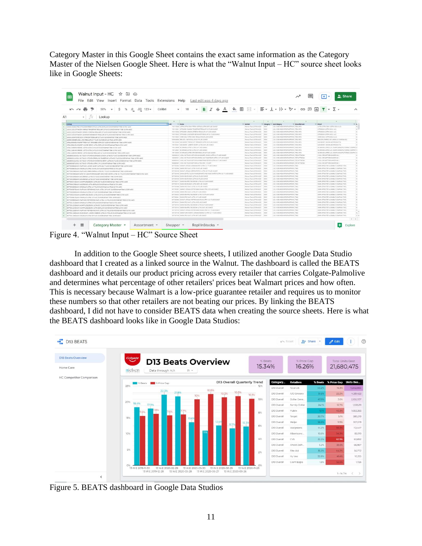Category Master in this Google Sheet contains the exact same information as the Category Master of the Nielsen Google Sheet. Here is what the "Walnut Input – HC" source sheet looks like in Google Sheets:

| % $.0$ $.00$ $123$ $\star$<br>Calibri<br>$\sim$ $\sim$<br>50%<br>S                                     | B<br>$\mathcal{I}$<br>10<br>÷.<br>$\mathcal{A}$                                                                                                         |                                                           |                      |                                                                           |                                   |                                                                                        |  |
|--------------------------------------------------------------------------------------------------------|---------------------------------------------------------------------------------------------------------------------------------------------------------|-----------------------------------------------------------|----------------------|---------------------------------------------------------------------------|-----------------------------------|----------------------------------------------------------------------------------------|--|
| $ \sqrt{X}$ Lookup                                                                                     |                                                                                                                                                         |                                                           |                      |                                                                           |                                   |                                                                                        |  |
| 14                                                                                                     | $\sim$<br>$\mathbb{R}^+$                                                                                                                                | <b>STATE</b>                                              |                      | $-31$                                                                     | The Control of the Control of the |                                                                                        |  |
| Lockup                                                                                                 | <b>Low</b><br><b>W Name</b><br><b>Windows</b><br>1931312020 ULTRA CITRA OESH FRESH CITRUS ULTRA 28 FLUID OUNCE                                          | Walmiers Tuser US RNI xADC                                | $-2624$              | V Category V Sub Category<br>LD, X DEVADUNPS/TMSPRAYS REMARKS             | # Manufacturer                    | w Brand<br>LLTRA CITRA-DIGH (CITRA-BOLV LLC)                                           |  |
| 1101312028ULTRA OTRA-OLSH FRESH CITRUS ULTRA 28 FLUID QUINCEVISIMENT TOTAL US RN 4AOC                  | 1911/1912 OTTAGGH WAGO TAGERINE REGULAR IN FLUO CONCE                                                                                                   | Wainset Total US RM +AOC                                  | Drill                | LD, X DO-MOS/WRSFMGPRAYS ROM MFG                                          |                                   | CITRADISH (CITRA-SOLV LLC)                                                             |  |
| 110131203107FADISH MANGO TANGERINE REGULAR 25 FLUID CUNCEWBIRGHT TOTAL US RM xADC                      | TRESTORE CITAMINING ANARES VERMISSING AN 26 FLUID CANCE                                                                                                 | Waiver Total US RM +AOC                                   | 12824                | LD, X DEHADS WPS/TAISPRAYS (REV MFG)                                      |                                   | CITRADIBI (CITRA-SOLV LLC)                                                             |  |
| 1101312032CITRADISH LEMON VERBENA REGULAR 25 FLUID CUNCEVABING/T TOTALUS RM XADC                       | TRITIGIO CITRADIA LAVOVOCA MOGAMO? REGULAR IN FLUD OUNCE                                                                                                | Wednesd Towe US RM wACK                                   | $-2004$              | LD, X DID-HUDS/WPS/FM/SPRAYS REM MFG.                                     |                                   | CITRADIDA (DITRA-SOLV LLC)                                                             |  |
| 1101312035CITRADISH LAVENCER BERGAMOT REGULAR 25 FLUID OUNCEWalmart Total US RM 1ACC                   | TRESTOESA HIGHE SOLV CITRA DIEH REGULAR 25 FLUID DUNCE                                                                                                  | Walmart Total US RM sACC                                  | <b>DOM</b>           | LD, A DENADS/WISFM SPRAYS REM MFG.                                        |                                   | HOME BOLY (OTTRA SOLV LLC)                                                             |  |
| 1101512034HOME SOLV CITRA DISH REQUILAR 25 FLUID DUNCEWAYNAY! TIRAI US RM NADC                         | 1203N-R000 (978) COS LIMIT RIDGULAR 24.7 FLUID CUNCE                                                                                                    |                                                           | CHEH                 | LDL X DEHADS/WRS/FM GPRAYS, ROM MFG.                                      |                                   | 142 AMORO AJ MORN, 30 ASSISTENCE ASSAULT                                               |  |
| 12003450006RLD2A UME REGULAR 24.7 FLUD OUNCEWAIMart Total US RM HADC                                   | 179110094) SUN BURST FRESH CUT ORANGES ULTRA 25 FLUID CANCE                                                                                             | Walmert Telei US RM sADC.                                 | CHEV                 | LD, X DISHADS/WRS/TM/SPRAYS, REM MFG.                                     |                                   |                                                                                        |  |
| 1791100000001N BURST FRESH CUT ORANGES ULTRA 25 FLUID OUNCEWAIHAH TOOA US RN KADC                      | 1701100041 SUN BURST JUNITER BERRY ULTRA 25 FLUID DUNCE                                                                                                 | Walmer Real US RM MOC.<br>Warrant Total US RM vACC        | CROS                 | LOL K DESIMOS/WRS/FM/SPRAYS INDULNED                                      |                                   | SUN BURST (SHOWLINE PRODUCTS)<br>SUN SURST (SYDHUNE PRODUCTS)                          |  |
| 17911000415JN BURST JUNIPER BERRY ULTRA 25 FLUID CONCEWAIHING TOtal US RM HADC                         | 1791124000 Tell ARANG LISTED ULTRA 24 FLUID DUNCE                                                                                                       | Warrant Teast US RM sAOC                                  | <b>COST</b>          | LD, A DISHADS/WPS/FM/SPRAYS (RDA MFG)                                     |                                   | NO BRAND LISTED ALS, SOAPS MANUFACTURING COMPANI DI                                    |  |
| 1791124090NO BRAND LISTED ULTRA 24 FLUID QUNCEVIWIMAN Total US RM NADC                                 | 1791124091 WO BRAND LISTED ULTRA 24 FLUID DUNCE                                                                                                         | Wallmart Toky US RN uACC                                  | DISH                 | LD, KOSHADSHPSFMSPRAYS RDM MTG.                                           |                                   | NO BRAND LISTED 416, SOAPS MANUFACTURING COMPANY IN                                    |  |
| 1791124091NO BRAND LISTED ULTRA 24 FLUID OUNCEVINIMIN'S Total US RM HADC                               |                                                                                                                                                         |                                                           | Code                 |                                                                           |                                   |                                                                                        |  |
| 1791124093NO BRAND LISTED DRANGE REGULAR 24 FLUID OUNCEWAIMAM Total US RM 440C                         | 1791124093 NO BRAND LISTED ORANGE REGILLAR 24 FLUID OUNCE<br>160000000 LYSOL NO TOUCH KITCHEN SUNNISSED LEMON ULTRA & E FLUID DUNCE                     | Weimer Tusal US RM LADC                                   | <b>Did</b> re        | LD, X DISHADS/WPS/TM/SPRAYS REM MTG<br>LOL KOD WESHPLEY GROUP RECKTT SEM  |                                   | 580 BRAND LISTED (U.S. SOAPS MANUFACTURING COMPANI A)<br>LYSOL (RECKITT BENCHARED AND) |  |
| 18000003001501 NO TOUCH KITCHEN SUNKISSED LEMON ULTRA & \$ FLUID OUNCEVINIMAN TIME US RKI KADE         |                                                                                                                                                         | Werner Total US RM AACC                                   | Code                 |                                                                           |                                   |                                                                                        |  |
| 1620000311U30LND TOUDI KITCHEN SRARELING TAKGERINE UCTRA B.S FLUID OUNCEVINIMIN'T Total US RN sADC     | INDIDIDIOS IN LINGUL NO TOUCH KITCHEN SPARKLING TANGERINE ULTRA ILS FLUID OUNCE<br>10000000 CYRS, NO TOUCH KITCHEN SHANETAKO BERBY LLTRA A E FLAD CUNCE | Warrant Total US RM AADC<br>Weimert Topic US RM AACC      | Called               | LD, KOSHADSIMPS/TMSPRAYS RECAITTIBENK<br>LO, KORANDAMPADANANYA DECATTRENA |                                   | LYSOL (RECKITT BENOKISER #42.)<br>LYSOL (BECASTT BENCHOSED HAT.)                       |  |
| 1620000312(r50), NO TOUCH KITCHEN SHIMANERING BERRY UCTRA B.S FLUID CUNCEVISITIES' TOtal US RM NADC    | 190000087 LYSOL NO TOUCH KITCHEN ULTRA 2 PK 1 COUNT                                                                                                     |                                                           | DOM                  | LD, X DEVADANPS/THSPRAYS RECHTTRENK                                       |                                   |                                                                                        |  |
| 15200850971/50L NO TOUCH KITCHEN ULTRA 2 PK 5 COUNTWallmart Total US RM NADC                           | 307720003 DAWN FLATINUM LEMON BURST JATRA 32.7 FLAD DUNCE                                                                                               | Westmart Tuxel US RM AACC.<br>Wallmart Tussi US PAT sACC. | $-$ Defect           | LD, a bis-outstrafts/hasPhort, P&S                                        |                                   | LYSOL (RECKITT BENOVSEER PAC.)<br>DAWN (PROCTER & GAMBLE COMPANY, THE)                 |  |
| SEITFASOORP DAWN PLATINUM LEMON BURST ULTRA 52.7 FLUID OUNCEVISING/T TOTALUS EM HADD                   | 3077200042 DAWN DRO BLUE ULTRA 15.4 FLUID OUNCE                                                                                                         | Westman's SAN Intelligencer                               | DOM:                 | LD, KOSHADSHIRSFMSFRAYS PAG                                               |                                   | DAWN (PROCTER & GAMELE COMPANY THE)                                                    |  |
| 3077200092DAWN ORG BLUE ULTRA 15.5 FLUID OUNCEWAIMAIT TOGII US RM KADC.                                | 3077200198 DAWN PLATINUM GREEN RAWWA ULTRA 32.7 FLUID OUNCE                                                                                             | Welcomed Town US RAY 44000                                | <b>Called</b>        | LOL X DEHADS/WRS/WASHING PAG                                              |                                   | DAWN (PROCTER & GAMELE COMPANY, THE).                                                  |  |
| 30772001380AWN FLATINUM GEEEN RANKIA ULTRA 32.7 FLUID OUNCEVISEMENT TOtal US RM 6AOC                   | SEFFICIONIO DAWN GENELE CLEAN POMOSTANATE AND ROSE WATER LLTRA SE-F PLUG OUNCE                                                                          | Warroot Tuest Ltd. RM sACKT                               | 1 Dates              | LTL X DEMARKAMENTARYS PAG                                                 |                                   | DAMI (FROCTER & GAMBLE COMPANY, THE)                                                   |  |
| 1077200160DAWN GENTLE CLEAN POMPOBANATE AND BOSE WATER LICERA 12.7 FLUID CUNCEWARING TING US BIA HACC. | 3077200168 DAINN AB ORANGE ULTRA B 9 FLUID DUNCE                                                                                                        | Walnut Tost US RM sADD                                    | $-0.014$             | LOL X DELIVERATION ENGINEERS PAG                                          |                                   | DAWN (FROCTER & GAMBLE COMPANY, THE)                                                   |  |
| 3077200165DAWN AB ORANGE ULTRA 6.5 PLUID DUNCEWAYNAYT TOtal US RM HADE                                 |                                                                                                                                                         |                                                           |                      |                                                                           |                                   |                                                                                        |  |
| 30772001690AWN AS ORANGE ULTRA 6.5 PLUID DUNCEWAIHAH TOGI US ENTIADE                                   | 307720239 DAWN AS DRANGE ULTRA ES FLUID OUNCE                                                                                                           | Wallmark Todal US RM AADC                                 | 7991<br><b>Cable</b> | LDL II DOI-MOS/WPS/FM/SPRAYS /NS                                          |                                   | DAWN (PROCTER & GAMBLE COMPANY, THE)                                                   |  |
| 3077200171DAWN AB APPLE BLOSSOM ULTRA 6.5 FLUID OUNCEWalmart Total US RM sADC                          | 307/2001/1 DAWN AB APPLE BLOSSOM ULTRA 6.6 FLUID OUNCE                                                                                                  | Wallmart Travel US RM AACC                                |                      | LO, KOSHADSWPSTMSPANT, P&G.                                               |                                   | DAMN (PROCTER & GAMELE COMPANY, THE)                                                   |  |
| 10772001780AWN AB ORANGE LLTDA 18 FLUID OLINOTWAIMAN THIAI US SAI NADO                                 | 3077200179 DAWN AB ORANGE ULTRA 38 FLUID OUNCE                                                                                                          | Warreart Toker US RM +ACC                                 | $-001$               | LD, X DID-MOS/MPS/TM SPRAYS / P&G                                         |                                   | DAWN (FROCTER & GAMILIC COMPANY, THE)                                                  |  |
| 30772002080AIAN ORG BLUE ULTRA 14.7 FLUID OUNCEWalment Total US RM KADC                                | REFTREERS CHAN ORG BLUE LATEA 14.7 FLUID CUNDE                                                                                                          | Welmerl Trac OR BM sACC.                                  | <b>COST</b>          | 10. KORACOVERSITENTE 265                                                  |                                   | DAWN (PROCTOR & GAMELY COMPANY THE)                                                    |  |
| 10773003070aWN BLATINUM SEFERINING BAIN LICERA 48 FLUID OUNCEWAIHHAM THIN US BAILLADD                  | SEZZEGET DAWN PLATINUM REPRESIVING RAIN ULTRA 14 FLUID DUNCE                                                                                            | Warner Toky US RM AADC                                    | DOM:                 | 10LI DSHADS WPS/THISPRIES PAG                                             |                                   | DAWN (PROCTER & GAMBLE COMPANY, THE)                                                   |  |
| 30772002080AWN ORG BLUE ULTRA 22 FLUID OUNCEWalment Total US RM KADC                                   | 3077200208 CAWN ORG BLUE ULTRA 22 FLUID OLNICE                                                                                                          | Walmert Total US RM AACC                                  | $-2024$              | LD, KOD WOOWPS FMSPRAYS P&G                                               |                                   | DAWN (PROCTER & GAMBLE COMPANY, THE)                                                   |  |
| 1077200233DAWN AB APPLE BLOESOM LICTRA 15.5 FLUID OUNCEWINIPHIP TORN US RM NAOC                        | 3077200233 DAINN AS APPLE BLOSSOM LETRA 15.5 FLUID DUNCE                                                                                                | Warroot Total US RM sACC                                  | CASH                 | LO: X DISHADSMOSCHISTORYS DAG                                             |                                   | DAMI (PROCTER & GAMBLE COMPANY, THE)                                                   |  |
| 307720084154WN 0RG RLUE ULTRA 13 FLUID OUNCEWalmert Total US RM x400                                   | 3077200841 DAWN ORG BLUC LETRA 15 FLMD OLINCE                                                                                                           | Walmart Total US RM sADC                                  | COSH                 | 10. X DOMES WPS/THSPRAYS PAG                                              |                                   | DAWN (PROCTER & GAMBLE COMPANY, THE)                                                   |  |
| 307720090004(AVA) PLATINUM REFRIEVANG RAIN LICERA 12-2 PLUID CUNCEVISIONES Thrail US RNF 440C          | 367200900 DAWN PLATINUM REFRESHING RAN ULTRA 12.2 FLUID DUNCE                                                                                           | Warrowt Tops US RM sADC                                   | 1200                 | 10: A DEHACS/APS/DASPBAYS, PAG                                            |                                   | DAWN (PROCTER & GAMBLE COMPANY, THE)                                                   |  |
| RETTZE117154WW ORS RIJK UZTRA A 5 FLUID OUNCRIVAIMMT TOTALUS RM valDC.                                 | 3077201131, DAWN ORG BLUE ULTRA & B FLUID OUNCE                                                                                                         | Welcher Total US RM LACC.                                 | Catal                | LD, KOS-WOLVAPS/TAISPRAYS P&S                                             |                                   | DAWN (PROCTER & GAMBLE COMPANY, THE)                                                   |  |
| 5077201133DAWN AB APPLE BLOSSOM ULTRA 6.5 FLUID OUNCEWalmart Total US RM sADD                          | 3077201133 DAINN AB APPLE BLOSSON LLTRA 6.5 FLLKD OLINCE                                                                                                | Warrent Total US RM AADC                                  | Cadilla              | LD, x bsvesvirshusters 140                                                |                                   | DAWN (PROCTER & GAMELE COMPANY, THE)                                                   |  |
| 5077201154DAWN AB APPLE BLOSSONI ULTRA 58 FLUID OUNCEWallmart Total US RM xAOC                         | 307201132 DAIN AB APPLE BLOSSOM LLTRA 36 FLLRS OUNCE                                                                                                    | Welches Total USS FOR AACOT                               | <b>Cabi</b>          | 12), X DEHADAVAPS/FMSPRAYS PAS                                            |                                   | DAWN (PROCTER & GAMELE COMPANY THE)                                                    |  |
| 3077201133DAWN PLATINUM REFRESHING RAIN ULTRA 32.7 FLUID OUNCEWalmart TIRSI US RM NADC                 | 307201116 DAWN FLATINUM REFRESHAN RAN ULTRA 32.7 FLIAD DUNCE                                                                                            | Waiver! Total US RM xAOC                                  | Drive                | LD, KOSHADSWPSFMSPRAYS P&S                                                |                                   | DAWN (PROCTER & GAMBLE COMPANY, THE)                                                   |  |
| 3077201138DAWN PURE ESSNTL LENION ESSENCE ULTRA 32.7 FLUID DUNCEWAIHIAH TOSI I US RM NADC              | 307201136 DAINY FURE ESSNTL LONDI ESSENCE ULTRA 22.7 FLUID OUNCE                                                                                        | Well-west Today Ltd. RNF uACC                             | <b>Cabu</b>          | LD, KOSHADSWRSFMSPRAYS PAG                                                |                                   | DAMK (FROCTER & DAMILE COMPANY, THE)                                                   |  |
| 50772011580AWN ORG BLUE ULTRA 58 FLUID CONCEWAIRING TOGALUS RM AACC                                    | 3077201188 DAINN ORG BLUE ULTRA 38 FLUID OUNCE                                                                                                          | Yourset Told US RM AACC                                   | <b>Cada</b>          | LD, X DD-HOSWPSFMSPAKY3 F&G                                               |                                   | DAWN (PROCTER & GAMILE COMPANY, THE)                                                   |  |

Figure 4. "Walnut Input – HC" Source Sheet

In addition to the Google Sheet source sheets, I utilized another Google Data Studio dashboard that I created as a linked source in the Walnut. The dashboard is called the BEATS dashboard and it details our product pricing across every retailer that carries Colgate-Palmolive and determines what percentage of other retailers' prices beat Walmart prices and how often. This is necessary because Walmart is a low-price guarantee retailer and requires us to monitor these numbers so that other retailers are not beating our prices. By linking the BEATS dashboard, I did not have to consider BEATS data when creating the source sheets. Here is what the BEATS dashboard looks like in Google Data Studios:



Figure 5. BEATS dashboard in Google Data Studios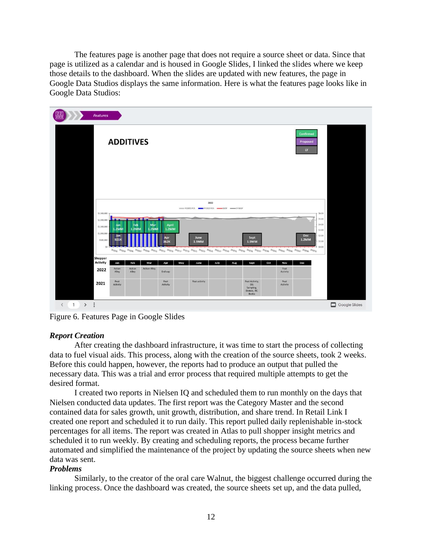The features page is another page that does not require a source sheet or data. Since that page is utilized as a calendar and is housed in Google Slides, I linked the slides where we keep those details to the dashboard. When the slides are updated with new features, the page in Google Data Studios displays the same information. Here is what the features page looks like in Google Data Studios:



Figure 6. Features Page in Google Slides

## *Report Creation*

After creating the dashboard infrastructure, it was time to start the process of collecting data to fuel visual aids. This process, along with the creation of the source sheets, took 2 weeks. Before this could happen, however, the reports had to produce an output that pulled the necessary data. This was a trial and error process that required multiple attempts to get the desired format.

I created two reports in Nielsen IQ and scheduled them to run monthly on the days that Nielsen conducted data updates. The first report was the Category Master and the second contained data for sales growth, unit growth, distribution, and share trend. In Retail Link I created one report and scheduled it to run daily. This report pulled daily replenishable in-stock percentages for all items. The report was created in Atlas to pull shopper insight metrics and scheduled it to run weekly. By creating and scheduling reports, the process became further automated and simplified the maintenance of the project by updating the source sheets when new data was sent.

## *Problems*

Similarly, to the creator of the oral care Walnut, the biggest challenge occurred during the linking process. Once the dashboard was created, the source sheets set up, and the data pulled,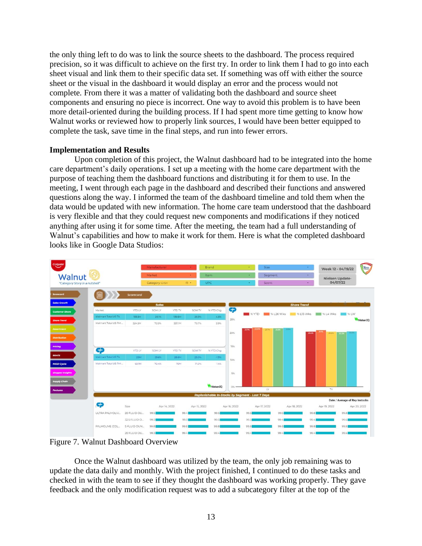the only thing left to do was to link the source sheets to the dashboard. The process required precision, so it was difficult to achieve on the first try. In order to link them I had to go into each sheet visual and link them to their specific data set. If something was off with either the source sheet or the visual in the dashboard it would display an error and the process would not complete. From there it was a matter of validating both the dashboard and source sheet components and ensuring no piece is incorrect. One way to avoid this problem is to have been more detail-oriented during the building process. If I had spent more time getting to know how Walnut works or reviewed how to properly link sources, I would have been better equipped to complete the task, save time in the final steps, and run into fewer errors.

## **Implementation and Results**

Upon completion of this project, the Walnut dashboard had to be integrated into the home care department's daily operations. I set up a meeting with the home care department with the purpose of teaching them the dashboard functions and distributing it for them to use. In the meeting, I went through each page in the dashboard and described their functions and answered questions along the way. I informed the team of the dashboard timeline and told them when the data would be updated with new information. The home care team understood that the dashboard is very flexible and that they could request new components and modifications if they noticed anything after using it for some time. After the meeting, the team had a full understanding of Walnut's capabilities and how to make it work for them. Here is what the completed dashboard looks like in Google Data Studios:

|                                |                | Manufacturer   |            | ٠            | Brand                                                   |                      | ÷              | <b>Size</b>  |                    | Week 12 - 04/19/22 | Rena                           |
|--------------------------------|----------------|----------------|------------|--------------|---------------------------------------------------------|----------------------|----------------|--------------|--------------------|--------------------|--------------------------------|
| Walnut                         |                | Market         |            | $\sim$       | Item                                                    |                      | ÷.             | Segment      | ÷.                 | Nielsen Update-    |                                |
| "Category Story in a nutshell" |                | Category: DISH |            | $(1)$ +      | UPC                                                     |                      | ×              | Scent        | ٠                  | 04/07/22           |                                |
|                                | Scorecard      |                |            |              |                                                         |                      |                |              |                    |                    |                                |
|                                |                | <b>Sales</b>   |            |              |                                                         |                      |                |              | <b>Share Trend</b> |                    |                                |
| Market                         | <b>YTD LY</b>  | SOM LY         | YTD TY     | SOM TY       | % YTD Chg                                               | <b>C<sub>2</sub></b> |                |              | % L13 Wks          |                    | $%$ LW                         |
| Walmart Total US TA            | 133.5M         | 29.1%          | 139.5M     | 29.3%        | 4.5%                                                    | 25%                  | <b>W</b> % YTD | % L26 Wks    |                    | $\sqrt{96}$ L4 Wks | NielsenIO                      |
| Walmart Total US RM            | 324.5M         | 70.9%          | 337.1M     | 70.7%        | 3.9%                                                    |                      |                |              |                    |                    |                                |
|                                |                |                |            |              |                                                         | 20%                  | 217%           | 21.7%        | 2195<br>20.5%      | 20.5%              | <b>20.6%</b><br>203            |
|                                |                |                |            |              |                                                         |                      |                |              |                    |                    |                                |
|                                |                |                |            |              |                                                         | 15%                  |                |              |                    |                    |                                |
| C <sub>2</sub>                 | <b>YTD LY</b>  | <b>SOM LY</b>  | YTD TY     | SOM TY       | % YTD Chg                                               |                      |                |              |                    |                    |                                |
| Walmart Total US TA            | 29M            | 29.6%          | 28.6M      | 29.0%        | $-1.3\%$                                                | 10%                  |                |              |                    |                    |                                |
| Walmart Total US RM            | 69.TM          | 70.4%          | <b>70M</b> | 71.0%        | 1,4%                                                    |                      |                |              |                    |                    |                                |
|                                |                |                |            |              |                                                         | 5%                   |                |              |                    |                    |                                |
|                                |                |                |            |              |                                                         |                      |                |              |                    |                    |                                |
|                                |                |                |            |              | NielsenIQ                                               | $0% -$               |                | LY           |                    | TY                 |                                |
|                                |                |                |            |              | <b>Replenishable In-Stocks by Segment - Last 7 Days</b> |                      |                |              |                    |                    |                                |
|                                |                |                |            |              |                                                         |                      |                |              |                    |                    | Date / Average of Rep Instocks |
| <b>CP</b>                      | Size           | Apr 14, 2022   |            | Apr 15, 2022 |                                                         | Apr 16, 2022         |                | Apr 17, 2022 | Apr 18, 2022       | Apr 19, 2022       | Apr 20, 2022                   |
| ULTRA PALMOLIV                 | 20 FLUID OU    | 99.5           | 99.4       |              | 99.5                                                    |                      | 99.5           | 99.5         | 99.8               |                    | 99.8                           |
|                                | 32.5 FLUID O., | 99.2           | 99.31      |              | 99.3                                                    |                      | 99.31          | 99.4         | 99.4               |                    | 99.6                           |
| PALMOLIVE (COL.,               | 5 FLUID OUN    | 99.8           | 99.8       |              | 99.8                                                    |                      | 99.8           | 99.8         | 99.8               |                    | 99.8                           |
|                                | 20 FLUID OU    | 99.3           | 99.4       |              | 99.4                                                    |                      | 99.4           | 99.4         | 99.4               |                    | 99.6                           |

Figure 7. Walnut Dashboard Overview

Once the Walnut dashboard was utilized by the team, the only job remaining was to update the data daily and monthly. With the project finished, I continued to do these tasks and checked in with the team to see if they thought the dashboard was working properly. They gave feedback and the only modification request was to add a subcategory filter at the top of the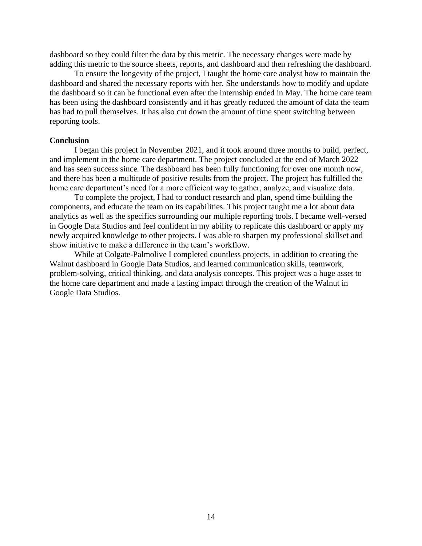dashboard so they could filter the data by this metric. The necessary changes were made by adding this metric to the source sheets, reports, and dashboard and then refreshing the dashboard.

To ensure the longevity of the project, I taught the home care analyst how to maintain the dashboard and shared the necessary reports with her. She understands how to modify and update the dashboard so it can be functional even after the internship ended in May. The home care team has been using the dashboard consistently and it has greatly reduced the amount of data the team has had to pull themselves. It has also cut down the amount of time spent switching between reporting tools.

## **Conclusion**

I began this project in November 2021, and it took around three months to build, perfect, and implement in the home care department. The project concluded at the end of March 2022 and has seen success since. The dashboard has been fully functioning for over one month now, and there has been a multitude of positive results from the project. The project has fulfilled the home care department's need for a more efficient way to gather, analyze, and visualize data.

To complete the project, I had to conduct research and plan, spend time building the components, and educate the team on its capabilities. This project taught me a lot about data analytics as well as the specifics surrounding our multiple reporting tools. I became well-versed in Google Data Studios and feel confident in my ability to replicate this dashboard or apply my newly acquired knowledge to other projects. I was able to sharpen my professional skillset and show initiative to make a difference in the team's workflow.

While at Colgate-Palmolive I completed countless projects, in addition to creating the Walnut dashboard in Google Data Studios, and learned communication skills, teamwork, problem-solving, critical thinking, and data analysis concepts. This project was a huge asset to the home care department and made a lasting impact through the creation of the Walnut in Google Data Studios.